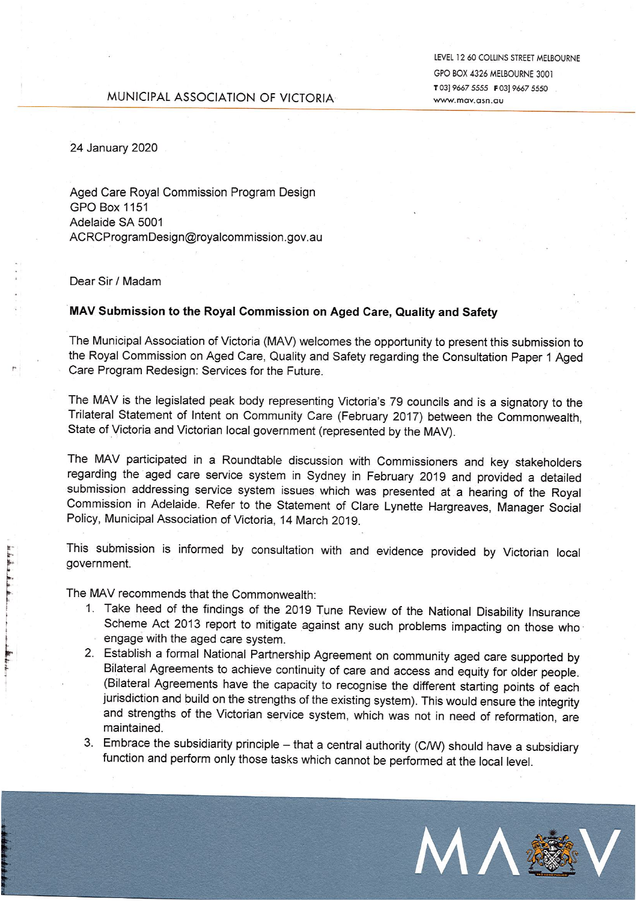#### LEVEL 12 60 COLLINS STREET MELBOURNE GPO BOX 4326 MELBOURNE 3001 T03] 9667 5555 F03] 9667 5550 www.may.asn.au

## MUNICIPAL ASSOCIATION OF VICTORIA-

24 January 2020

Aged Care Royal Commission Program Design **GPO Box 1151** Adelaide SA 5001 ACRCProgramDesign@royalcommission.gov.au

#### Dear Sir / Madam

### MAV Submission to the Royal Commission on Aged Care, Quality and Safety

The Municipal Association of Victoria (MAV) welcomes the opportunity to present this submission to the Royal Commission on Aged Care, Quality and Safety regarding the Consultation Paper 1 Aged Care Program Redesign: Services for the Future.

The MAV is the legislated peak body representing Victoria's 79 councils and is a signatory to the Trilateral Statement of Intent on Community Care (February 2017) between the Commonwealth, State of Victoria and Victorian local government (represented by the MAV).

The MAV participated in a Roundtable discussion with Commissioners and key stakeholders regarding the aged care service system in Sydney in February 2019 and provided a detailed submission addressing service system issues which was presented at a hearing of the Royal Commission in Adelaide. Refer to the Statement of Clare Lynette Hargreaves, Manager Social Policy, Municipal Association of Victoria, 14 March 2019.

This submission is informed by consultation with and evidence provided by Victorian local government.

The MAV recommends that the Commonwealth:

- 1. Take heed of the findings of the 2019 Tune Review of the National Disability Insurance Scheme Act 2013 report to mitigate against any such problems impacting on those who engage with the aged care system.
- 2. Establish a formal National Partnership Agreement on community aged care supported by Bilateral Agreements to achieve continuity of care and access and equity for older people. (Bilateral Agreements have the capacity to recognise the different starting points of each jurisdiction and build on the strengths of the existing system). This would ensure the integrity and strengths of the Victorian service system, which was not in need of reformation, are maintained.
- 3. Embrace the subsidiarity principle that a central authority (C/W) should have a subsidiary function and perform only those tasks which cannot be performed at the local level.

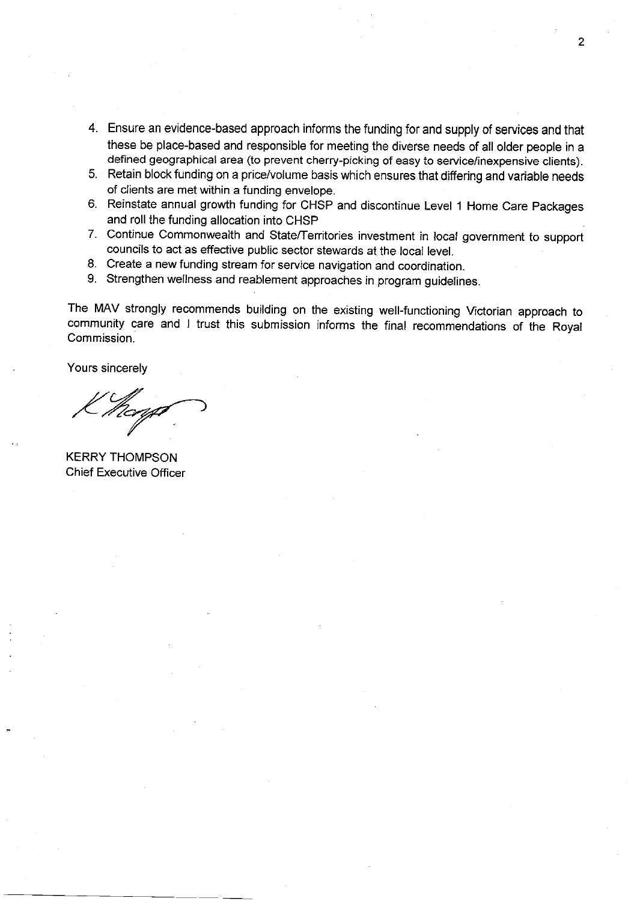- 4. Ensure an evidence-based approach informs the funding for and supply of services and that these be place-based and responsible for meeting the diverse needs of all older people in a defined geographical area (to prevent cherry-picking of easy to service/inexpensive clients).
- 5. Retain block funding on a price/volume basis which ensures that differing and variable needs of clients are met within a funding envelope.
- 6. Reinstate annual growth funding for CHSP and discontinue Level 1 Home Care Packages and roll the funding allocation into CHSP
- 7. Continue Commonwealth and State/Territories investment in local government to support councils to act as effective public sector stewards at the local level.
- 8. Create a new funding stream for service navigation and coordination.
- 9. Strengthen wellness and reablement approaches in program guidelines.

The MAV strongly recommends building on the existing well-functioning Victorian approach to community care and I trust this submission informs the final recommendations of the Royal Commission

Yours sincerely

**KERRY THOMPSON Chief Executive Officer**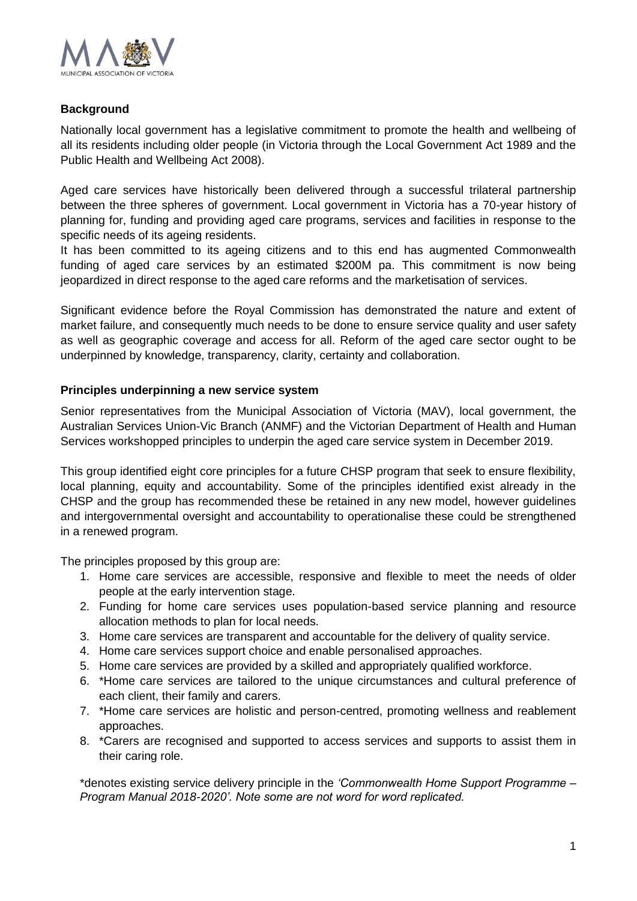

# **Background**

Nationally local government has a legislative commitment to promote the health and wellbeing of all its residents including older people (in Victoria through the Local Government Act 1989 and the Public Health and Wellbeing Act 2008).

Aged care services have historically been delivered through a successful trilateral partnership between the three spheres of government. Local government in Victoria has a 70-year history of planning for, funding and providing aged care programs, services and facilities in response to the specific needs of its ageing residents.

It has been committed to its ageing citizens and to this end has augmented Commonwealth funding of aged care services by an estimated \$200M pa. This commitment is now being jeopardized in direct response to the aged care reforms and the marketisation of services.

Significant evidence before the Royal Commission has demonstrated the nature and extent of market failure, and consequently much needs to be done to ensure service quality and user safety as well as geographic coverage and access for all. Reform of the aged care sector ought to be underpinned by knowledge, transparency, clarity, certainty and collaboration.

# **Principles underpinning a new service system**

Senior representatives from the Municipal Association of Victoria (MAV), local government, the Australian Services Union-Vic Branch (ANMF) and the Victorian Department of Health and Human Services workshopped principles to underpin the aged care service system in December 2019.

This group identified eight core principles for a future CHSP program that seek to ensure flexibility, local planning, equity and accountability. Some of the principles identified exist already in the CHSP and the group has recommended these be retained in any new model, however guidelines and intergovernmental oversight and accountability to operationalise these could be strengthened in a renewed program.

The principles proposed by this group are:

- 1. Home care services are accessible, responsive and flexible to meet the needs of older people at the early intervention stage.
- 2. Funding for home care services uses population-based service planning and resource allocation methods to plan for local needs.
- 3. Home care services are transparent and accountable for the delivery of quality service.
- 4. Home care services support choice and enable personalised approaches.
- 5. Home care services are provided by a skilled and appropriately qualified workforce.
- 6. \*Home care services are tailored to the unique circumstances and cultural preference of each client, their family and carers.
- 7. \*Home care services are holistic and person-centred, promoting wellness and reablement approaches.
- 8. \*Carers are recognised and supported to access services and supports to assist them in their caring role.

\*denotes existing service delivery principle in the *'Commonwealth Home Support Programme – Program Manual 2018-2020'. Note some are not word for word replicated.*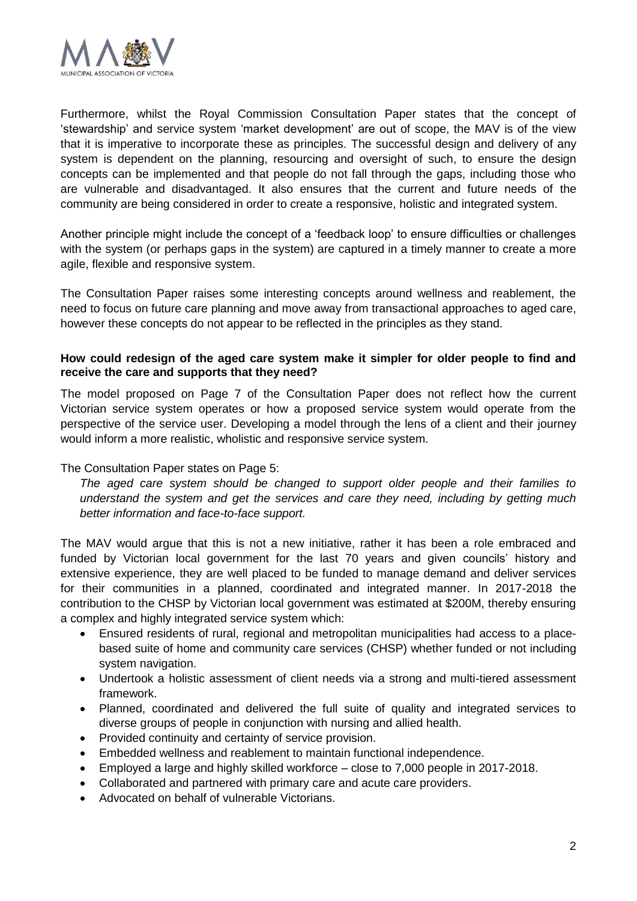

Furthermore, whilst the Royal Commission Consultation Paper states that the concept of 'stewardship' and service system 'market development' are out of scope, the MAV is of the view that it is imperative to incorporate these as principles. The successful design and delivery of any system is dependent on the planning, resourcing and oversight of such, to ensure the design concepts can be implemented and that people do not fall through the gaps, including those who are vulnerable and disadvantaged. It also ensures that the current and future needs of the community are being considered in order to create a responsive, holistic and integrated system.

Another principle might include the concept of a 'feedback loop' to ensure difficulties or challenges with the system (or perhaps gaps in the system) are captured in a timely manner to create a more agile, flexible and responsive system.

The Consultation Paper raises some interesting concepts around wellness and reablement, the need to focus on future care planning and move away from transactional approaches to aged care, however these concepts do not appear to be reflected in the principles as they stand.

### **How could redesign of the aged care system make it simpler for older people to find and receive the care and supports that they need?**

The model proposed on Page 7 of the Consultation Paper does not reflect how the current Victorian service system operates or how a proposed service system would operate from the perspective of the service user. Developing a model through the lens of a client and their journey would inform a more realistic, wholistic and responsive service system.

### The Consultation Paper states on Page 5:

*The aged care system should be changed to support older people and their families to understand the system and get the services and care they need, including by getting much better information and face-to-face support.*

The MAV would argue that this is not a new initiative, rather it has been a role embraced and funded by Victorian local government for the last 70 years and given councils' history and extensive experience, they are well placed to be funded to manage demand and deliver services for their communities in a planned, coordinated and integrated manner. In 2017-2018 the contribution to the CHSP by Victorian local government was estimated at \$200M, thereby ensuring a complex and highly integrated service system which:

- Ensured residents of rural, regional and metropolitan municipalities had access to a placebased suite of home and community care services (CHSP) whether funded or not including system navigation.
- Undertook a holistic assessment of client needs via a strong and multi-tiered assessment framework.
- Planned, coordinated and delivered the full suite of quality and integrated services to diverse groups of people in conjunction with nursing and allied health.
- Provided continuity and certainty of service provision.
- Embedded wellness and reablement to maintain functional independence.
- Employed a large and highly skilled workforce close to 7,000 people in 2017-2018.
- Collaborated and partnered with primary care and acute care providers.
- Advocated on behalf of vulnerable Victorians.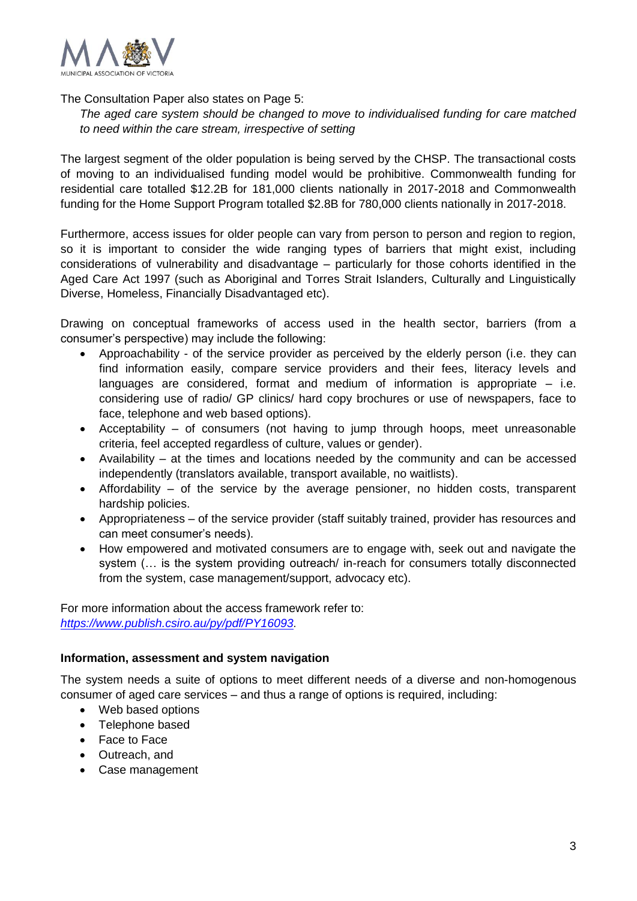

The Consultation Paper also states on Page 5:

*The aged care system should be changed to move to individualised funding for care matched to need within the care stream, irrespective of setting* 

The largest segment of the older population is being served by the CHSP. The transactional costs of moving to an individualised funding model would be prohibitive. Commonwealth funding for residential care totalled \$12.2B for 181,000 clients nationally in 2017-2018 and Commonwealth funding for the Home Support Program totalled \$2.8B for 780,000 clients nationally in 2017-2018.

Furthermore, access issues for older people can vary from person to person and region to region, so it is important to consider the wide ranging types of barriers that might exist, including considerations of vulnerability and disadvantage – particularly for those cohorts identified in the Aged Care Act 1997 (such as Aboriginal and Torres Strait Islanders, Culturally and Linguistically Diverse, Homeless, Financially Disadvantaged etc).

Drawing on conceptual frameworks of access used in the health sector, barriers (from a consumer's perspective) may include the following:

- Approachability of the service provider as perceived by the elderly person (i.e. they can find information easily, compare service providers and their fees, literacy levels and languages are considered, format and medium of information is appropriate  $-$  i.e. considering use of radio/ GP clinics/ hard copy brochures or use of newspapers, face to face, telephone and web based options).
- Acceptability of consumers (not having to jump through hoops, meet unreasonable criteria, feel accepted regardless of culture, values or gender).
- Availability at the times and locations needed by the community and can be accessed independently (translators available, transport available, no waitlists).
- Affordability of the service by the average pensioner, no hidden costs, transparent hardship policies.
- Appropriateness of the service provider (staff suitably trained, provider has resources and can meet consumer's needs).
- How empowered and motivated consumers are to engage with, seek out and navigate the system (… is the system providing outreach/ in-reach for consumers totally disconnected from the system, case management/support, advocacy etc).

For more information about the access framework refer to: *[https://www.publish.csiro.au/py/pdf/PY16093.](https://www.publish.csiro.au/py/pdf/PY16093)*

### **Information, assessment and system navigation**

The system needs a suite of options to meet different needs of a diverse and non-homogenous consumer of aged care services – and thus a range of options is required, including:

- Web based options
- Telephone based
- Face to Face
- Outreach, and
- Case management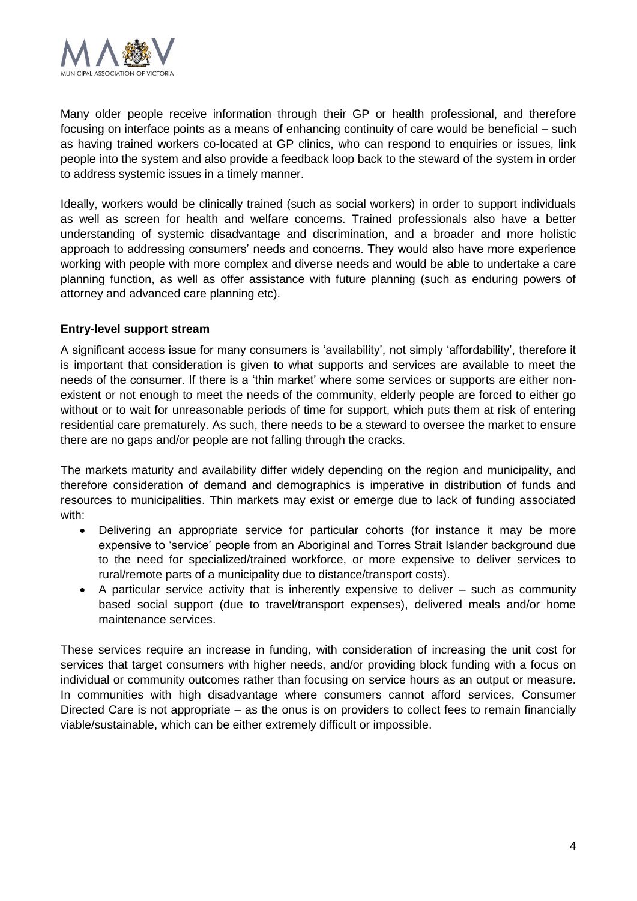

Many older people receive information through their GP or health professional, and therefore focusing on interface points as a means of enhancing continuity of care would be beneficial – such as having trained workers co-located at GP clinics, who can respond to enquiries or issues, link people into the system and also provide a feedback loop back to the steward of the system in order to address systemic issues in a timely manner.

Ideally, workers would be clinically trained (such as social workers) in order to support individuals as well as screen for health and welfare concerns. Trained professionals also have a better understanding of systemic disadvantage and discrimination, and a broader and more holistic approach to addressing consumers' needs and concerns. They would also have more experience working with people with more complex and diverse needs and would be able to undertake a care planning function, as well as offer assistance with future planning (such as enduring powers of attorney and advanced care planning etc).

## **Entry-level support stream**

A significant access issue for many consumers is 'availability', not simply 'affordability', therefore it is important that consideration is given to what supports and services are available to meet the needs of the consumer. If there is a 'thin market' where some services or supports are either nonexistent or not enough to meet the needs of the community, elderly people are forced to either go without or to wait for unreasonable periods of time for support, which puts them at risk of entering residential care prematurely. As such, there needs to be a steward to oversee the market to ensure there are no gaps and/or people are not falling through the cracks.

The markets maturity and availability differ widely depending on the region and municipality, and therefore consideration of demand and demographics is imperative in distribution of funds and resources to municipalities. Thin markets may exist or emerge due to lack of funding associated with:

- Delivering an appropriate service for particular cohorts (for instance it may be more expensive to 'service' people from an Aboriginal and Torres Strait Islander background due to the need for specialized/trained workforce, or more expensive to deliver services to rural/remote parts of a municipality due to distance/transport costs).
- A particular service activity that is inherently expensive to deliver such as community based social support (due to travel/transport expenses), delivered meals and/or home maintenance services.

These services require an increase in funding, with consideration of increasing the unit cost for services that target consumers with higher needs, and/or providing block funding with a focus on individual or community outcomes rather than focusing on service hours as an output or measure. In communities with high disadvantage where consumers cannot afford services, Consumer Directed Care is not appropriate – as the onus is on providers to collect fees to remain financially viable/sustainable, which can be either extremely difficult or impossible.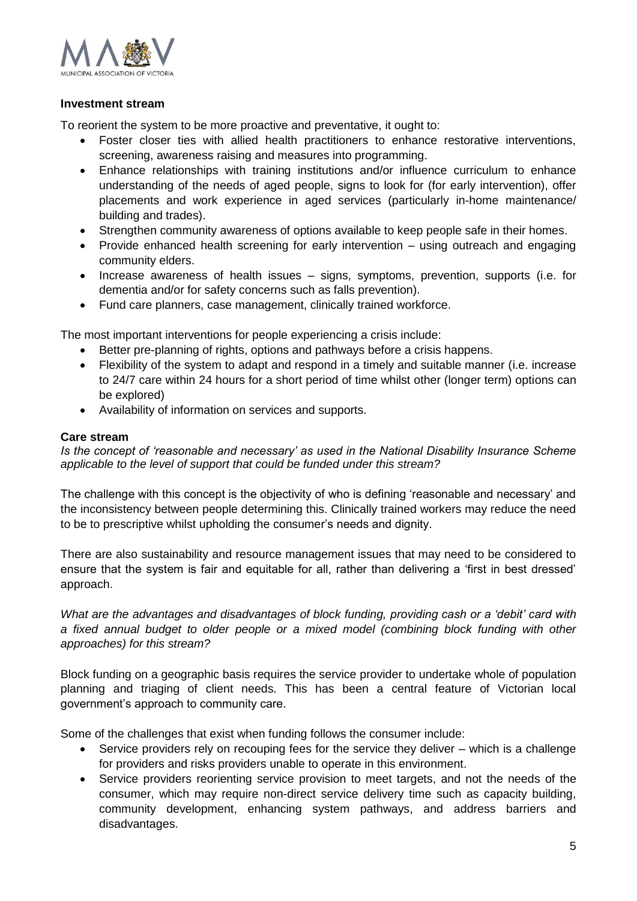

#### **Investment stream**

To reorient the system to be more proactive and preventative, it ought to:

- Foster closer ties with allied health practitioners to enhance restorative interventions, screening, awareness raising and measures into programming.
- Enhance relationships with training institutions and/or influence curriculum to enhance understanding of the needs of aged people, signs to look for (for early intervention), offer placements and work experience in aged services (particularly in-home maintenance/ building and trades).
- Strengthen community awareness of options available to keep people safe in their homes.
- Provide enhanced health screening for early intervention using outreach and engaging community elders.
- Increase awareness of health issues signs, symptoms, prevention, supports (i.e. for dementia and/or for safety concerns such as falls prevention).
- Fund care planners, case management, clinically trained workforce.

The most important interventions for people experiencing a crisis include:

- Better pre-planning of rights, options and pathways before a crisis happens.
- Flexibility of the system to adapt and respond in a timely and suitable manner (i.e. increase to 24/7 care within 24 hours for a short period of time whilst other (longer term) options can be explored)
- Availability of information on services and supports.

#### **Care stream**

*Is the concept of 'reasonable and necessary' as used in the National Disability Insurance Scheme applicable to the level of support that could be funded under this stream?*

The challenge with this concept is the objectivity of who is defining 'reasonable and necessary' and the inconsistency between people determining this. Clinically trained workers may reduce the need to be to prescriptive whilst upholding the consumer's needs and dignity.

There are also sustainability and resource management issues that may need to be considered to ensure that the system is fair and equitable for all, rather than delivering a 'first in best dressed' approach.

*What are the advantages and disadvantages of block funding, providing cash or a 'debit' card with a fixed annual budget to older people or a mixed model (combining block funding with other approaches) for this stream?*

Block funding on a geographic basis requires the service provider to undertake whole of population planning and triaging of client needs. This has been a central feature of Victorian local government's approach to community care.

Some of the challenges that exist when funding follows the consumer include:

- Service providers rely on recouping fees for the service they deliver which is a challenge for providers and risks providers unable to operate in this environment.
- Service providers reorienting service provision to meet targets, and not the needs of the consumer, which may require non-direct service delivery time such as capacity building, community development, enhancing system pathways, and address barriers and disadvantages.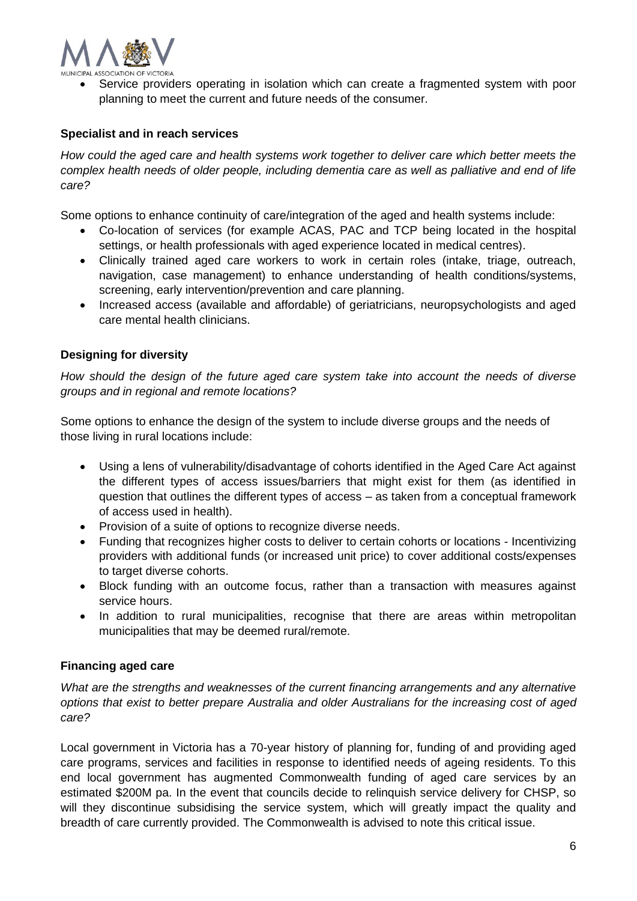

• Service providers operating in isolation which can create a fragmented system with poor planning to meet the current and future needs of the consumer.

## **Specialist and in reach services**

*How could the aged care and health systems work together to deliver care which better meets the complex health needs of older people, including dementia care as well as palliative and end of life care?*

Some options to enhance continuity of care/integration of the aged and health systems include:

- Co-location of services (for example ACAS, PAC and TCP being located in the hospital settings, or health professionals with aged experience located in medical centres).
- Clinically trained aged care workers to work in certain roles (intake, triage, outreach, navigation, case management) to enhance understanding of health conditions/systems, screening, early intervention/prevention and care planning.
- Increased access (available and affordable) of geriatricians, neuropsychologists and aged care mental health clinicians.

## **Designing for diversity**

*How should the design of the future aged care system take into account the needs of diverse groups and in regional and remote locations?*

Some options to enhance the design of the system to include diverse groups and the needs of those living in rural locations include:

- Using a lens of vulnerability/disadvantage of cohorts identified in the Aged Care Act against the different types of access issues/barriers that might exist for them (as identified in question that outlines the different types of access – as taken from a conceptual framework of access used in health).
- Provision of a suite of options to recognize diverse needs.
- Funding that recognizes higher costs to deliver to certain cohorts or locations Incentivizing providers with additional funds (or increased unit price) to cover additional costs/expenses to target diverse cohorts.
- Block funding with an outcome focus, rather than a transaction with measures against service hours.
- In addition to rural municipalities, recognise that there are areas within metropolitan municipalities that may be deemed rural/remote.

## **Financing aged care**

*What are the strengths and weaknesses of the current financing arrangements and any alternative options that exist to better prepare Australia and older Australians for the increasing cost of aged care?*

Local government in Victoria has a 70-year history of planning for, funding of and providing aged care programs, services and facilities in response to identified needs of ageing residents. To this end local government has augmented Commonwealth funding of aged care services by an estimated \$200M pa. In the event that councils decide to relinquish service delivery for CHSP, so will they discontinue subsidising the service system, which will greatly impact the quality and breadth of care currently provided. The Commonwealth is advised to note this critical issue.